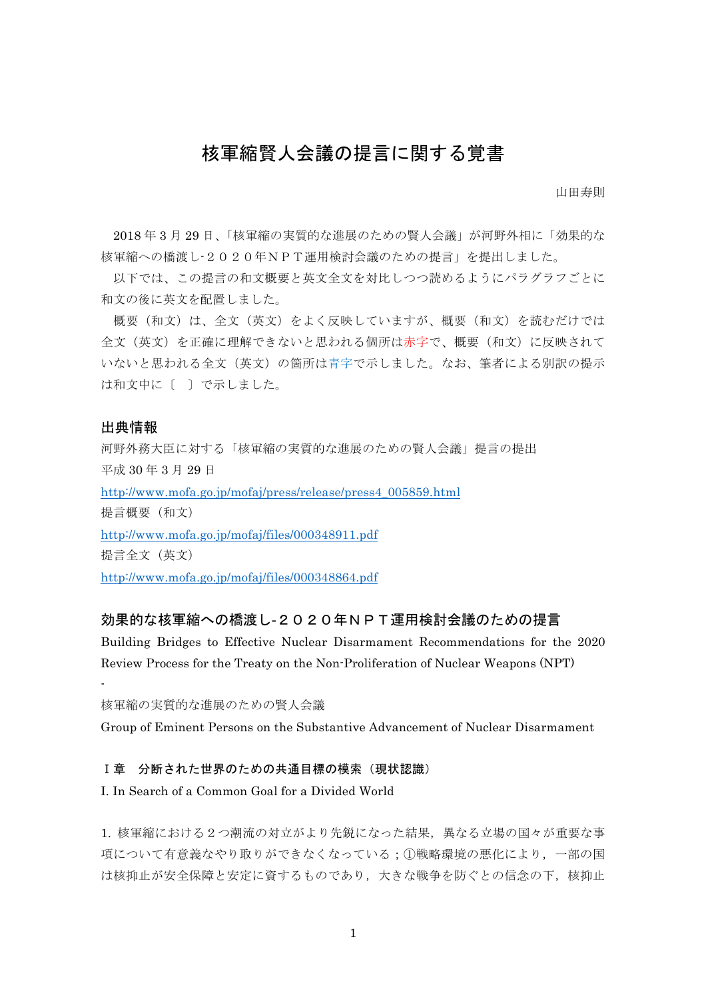# 核軍縮賢人会議の提言に関する覚書

山田寿則

2018 年 3 月 29 日、「核軍縮の実質的な進展のための賢人会議」が河野外相に「効果的な 核軍縮への橋渡し-2020年NPT運用検討会議のための提言」を提出しました。

以下では、この提言の和文概要と英文全文を対比しつつ読めるようにパラグラフごとに 和文の後に英文を配置しました。

概要(和文)は、全文(英文)をよく反映していますが、概要(和文)を読むだけでは 全文(英文)を正確に理解できないと思われる個所は赤字で、概要(和文)に反映されて いないと思われる全文(英文)の箇所は青字で示しました。なお、筆者による別訳の提示 は和文中に〔 〕で示しました。

## 出典情報

-

河野外務大臣に対する「核軍縮の実質的な進展のための賢人会議」提言の提出 平成 30 年 3 月 29 日 http://www.mofa.go.jp/mofaj/press/release/press4\_005859.html 提言概要(和文) http://www.mofa.go.jp/mofaj/files/000348911.pdf 提言全文(英文) http://www.mofa.go.jp/mofaj/files/000348864.pdf

# 効果的な核軍縮への橋渡し-2020年NPT運用検討会議のための提言

Building Bridges to Effective Nuclear Disarmament Recommendations for the 2020 Review Process for the Treaty on the Non-Proliferation of Nuclear Weapons (NPT)

核軍縮の実質的な進展のための賢人会議

Group of Eminent Persons on the Substantive Advancement of Nuclear Disarmament

#### Ⅰ章 分断された世界のための共通目標の模索(現状認識)

I. In Search of a Common Goal for a Divided World

1. 核軍縮における2つ潮流の対立がより先鋭になった結果,異なる立場の国々が重要な事 項について有意義なやり取りができなくなっている;①戦略環境の悪化により,一部の国 は核抑止が安全保障と安定に資するものであり、大きな戦争を防ぐとの信念の下、核抑止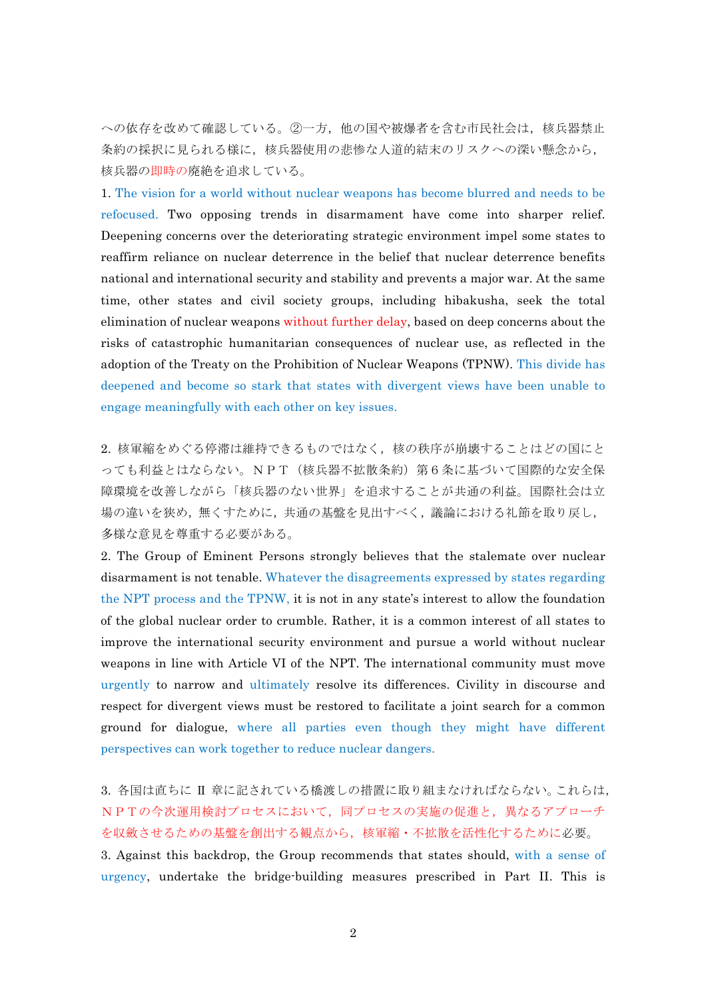への依存を改めて確認している。②一方,他の国や被爆者を含む市民社会は,核兵器禁止 条約の採択に見られる様に、核兵器使用の悲惨な人道的結末のリスクへの深い懸念から, 核兵器の即時の廃絶を追求している。

1. The vision for a world without nuclear weapons has become blurred and needs to be refocused. Two opposing trends in disarmament have come into sharper relief. Deepening concerns over the deteriorating strategic environment impel some states to reaffirm reliance on nuclear deterrence in the belief that nuclear deterrence benefits national and international security and stability and prevents a major war. At the same time, other states and civil society groups, including hibakusha, seek the total elimination of nuclear weapons without further delay, based on deep concerns about the risks of catastrophic humanitarian consequences of nuclear use, as reflected in the adoption of the Treaty on the Prohibition of Nuclear Weapons (TPNW). This divide has deepened and become so stark that states with divergent views have been unable to engage meaningfully with each other on key issues.

2. 核軍縮をめぐる停滞は維持できるものではなく、核の秩序が崩壊することはどの国にと っても利益とはならない。NPT(核兵器不拡散条約)第6条に基づいて国際的な安全保 障環境を改善しながら「核兵器のない世界」を追求することが共通の利益。国際社会は立 場の違いを狭め,無くすために,共通の基盤を見出すべく,議論における礼節を取り戻し, 多様な意見を尊重する必要がある。

2. The Group of Eminent Persons strongly believes that the stalemate over nuclear disarmament is not tenable. Whatever the disagreements expressed by states regarding the NPT process and the TPNW, it is not in any state's interest to allow the foundation of the global nuclear order to crumble. Rather, it is a common interest of all states to improve the international security environment and pursue a world without nuclear weapons in line with Article VI of the NPT. The international community must move urgently to narrow and ultimately resolve its differences. Civility in discourse and respect for divergent views must be restored to facilitate a joint search for a common ground for dialogue, where all parties even though they might have different perspectives can work together to reduce nuclear dangers.

3. 各国は直ちに Ⅱ 章に記されている橋渡しの措置に取り組まなければならない。これらは, NPTの今次運用検討プロセスにおいて,同プロセスの実施の促進と,異なるアプローチ を収斂させるための基盤を創出する観点から,核軍縮・不拡散を活性化するために必要。

3. Against this backdrop, the Group recommends that states should, with a sense of urgency, undertake the bridge-building measures prescribed in Part II. This is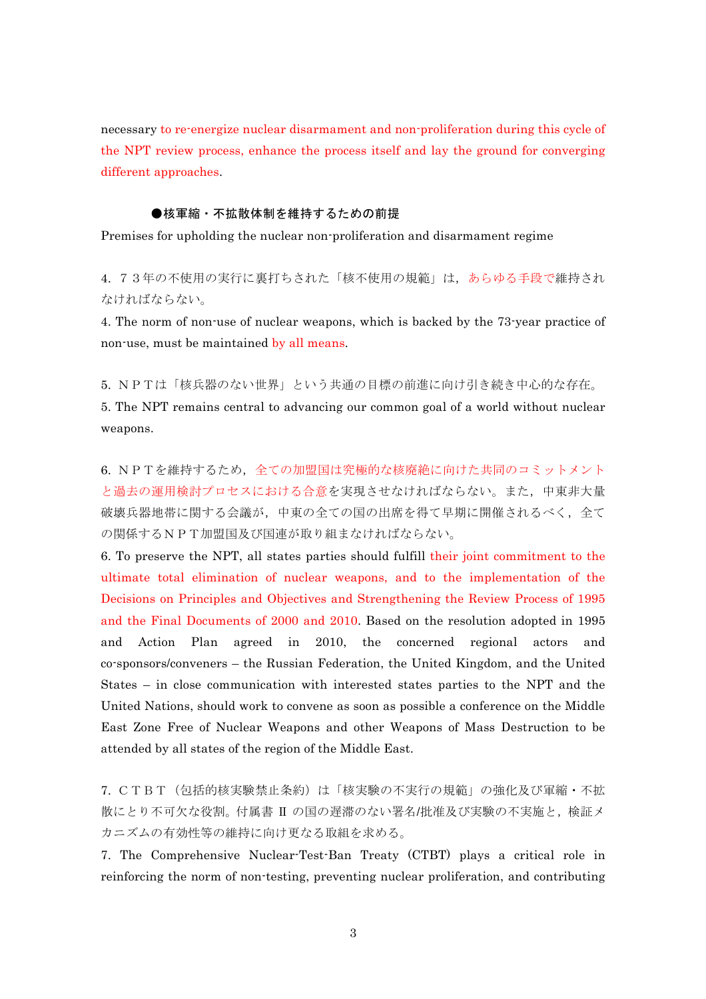necessary to re-energize nuclear disarmament and non-proliferation during this cycle of the NPT review process, enhance the process itself and lay the ground for converging different approaches.

## ●核軍縮・不拡散体制を維持するための前提

Premises for upholding the nuclear non-proliferation and disarmament regime

4. 73年の不使用の実行に裏打ちされた「核不使用の規範」は,あらゆる手段で維持され なければならない。

4. The norm of non-use of nuclear weapons, which is backed by the 73-year practice of non-use, must be maintained by all means.

5. NPTは「核兵器のない世界」という共通の目標の前進に向け引き続き中心的な存在。

5. The NPT remains central to advancing our common goal of a world without nuclear weapons.

6. NPTを維持するため、全ての加盟国は究極的な核廃絶に向けた共同のコミットメント と過去の運用検討プロセスにおける合意を実現させなければならない。また,中東非大量 破壊兵器地帯に関する会議が、中東の全ての国の出席を得て早期に開催されるべく、全て の関係するNPT加盟国及び国連が取り組まなければならない。

6. To preserve the NPT, all states parties should fulfill their joint commitment to the ultimate total elimination of nuclear weapons, and to the implementation of the Decisions on Principles and Objectives and Strengthening the Review Process of 1995 and the Final Documents of 2000 and 2010. Based on the resolution adopted in 1995 and Action Plan agreed in 2010, the concerned regional actors and co-sponsors/conveners – the Russian Federation, the United Kingdom, and the United States – in close communication with interested states parties to the NPT and the United Nations, should work to convene as soon as possible a conference on the Middle East Zone Free of Nuclear Weapons and other Weapons of Mass Destruction to be attended by all states of the region of the Middle East.

7. CTBT(包括的核実験禁止条約)は「核実験の不実行の規範」の強化及び軍縮・不拡 散にとり不可欠な役割。付属書 Ⅱ の国の遅滞のない署名/批准及び実験の不実施と,検証メ カニズムの有効性等の維持に向け更なる取組を求める。

7. The Comprehensive Nuclear-Test-Ban Treaty (CTBT) plays a critical role in reinforcing the norm of non-testing, preventing nuclear proliferation, and contributing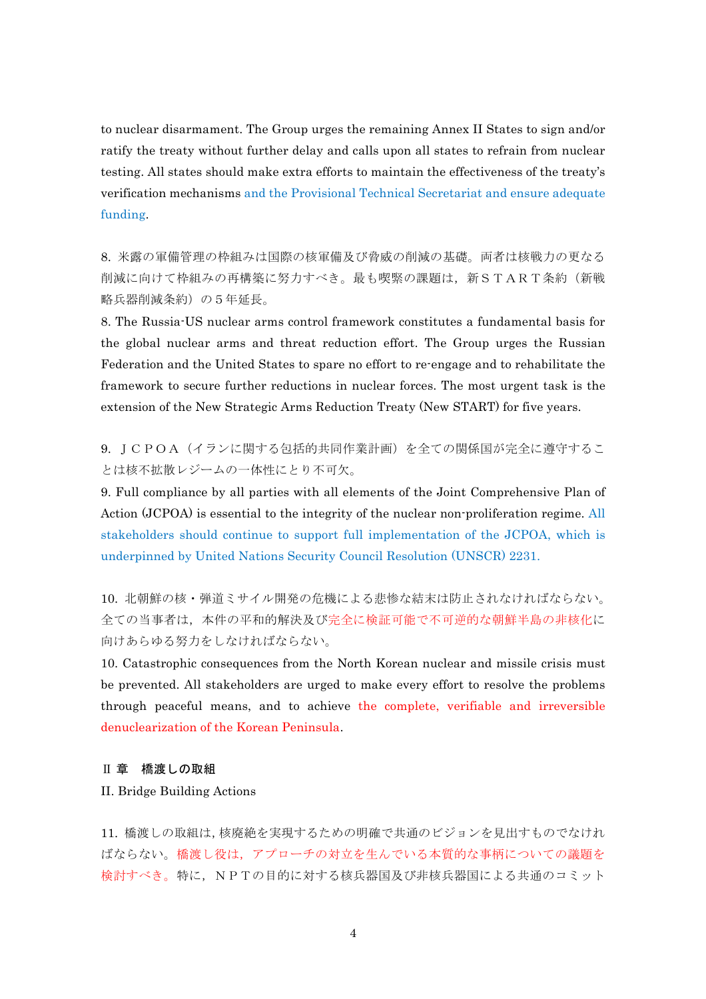to nuclear disarmament. The Group urges the remaining Annex II States to sign and/or ratify the treaty without further delay and calls upon all states to refrain from nuclear testing. All states should make extra efforts to maintain the effectiveness of the treaty's verification mechanisms and the Provisional Technical Secretariat and ensure adequate funding.

8. 米露の軍備管理の枠組みは国際の核軍備及び脅威の削減の基礎。両者は核戦力の更なる 削減に向けて枠組みの再構築に努力すべき。最も喫緊の課題は、新START条約(新戦 略兵器削減条約)の5年延長。

8. The Russia-US nuclear arms control framework constitutes a fundamental basis for the global nuclear arms and threat reduction effort. The Group urges the Russian Federation and the United States to spare no effort to re-engage and to rehabilitate the framework to secure further reductions in nuclear forces. The most urgent task is the extension of the New Strategic Arms Reduction Treaty (New START) for five years.

9. JCPOA(イランに関する包括的共同作業計画)を全ての関係国が完全に遵守するこ とは核不拡散レジームの一体性にとり不可欠。

9. Full compliance by all parties with all elements of the Joint Comprehensive Plan of Action (JCPOA) is essential to the integrity of the nuclear non-proliferation regime. All stakeholders should continue to support full implementation of the JCPOA, which is underpinned by United Nations Security Council Resolution (UNSCR) 2231.

10. 北朝鮮の核・弾道ミサイル開発の危機による悲惨な結末は防止されなければならない。 全ての当事者は,本件の平和的解決及び完全に検証可能で不可逆的な朝鮮半島の非核化に 向けあらゆる努力をしなければならない。

10. Catastrophic consequences from the North Korean nuclear and missile crisis must be prevented. All stakeholders are urged to make every effort to resolve the problems through peaceful means, and to achieve the complete, verifiable and irreversible denuclearization of the Korean Peninsula.

#### Ⅱ 章 橋渡しの取組

II. Bridge Building Actions

11. 橋渡しの取組は,核廃絶を実現するための明確で共通のビジョンを見出すものでなけれ ばならない。橋渡し役は,アプローチの対立を生んでいる本質的な事柄についての議題を 検討すべき。特に,NPTの目的に対する核兵器国及び非核兵器国による共通のコミット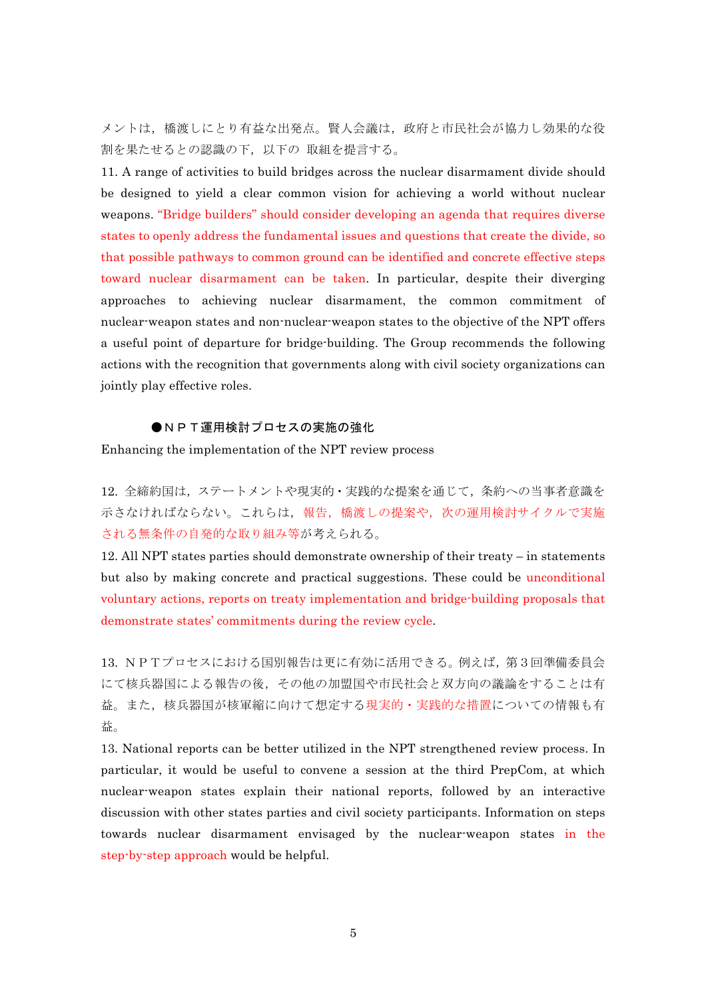メントは,橋渡しにとり有益な出発点。賢人会議は,政府と市民社会が協力し効果的な役 割を果たせるとの認識の下,以下の 取組を提言する。

11. A range of activities to build bridges across the nuclear disarmament divide should be designed to yield a clear common vision for achieving a world without nuclear weapons. "Bridge builders" should consider developing an agenda that requires diverse states to openly address the fundamental issues and questions that create the divide, so that possible pathways to common ground can be identified and concrete effective steps toward nuclear disarmament can be taken. In particular, despite their diverging approaches to achieving nuclear disarmament, the common commitment of nuclear-weapon states and non-nuclear-weapon states to the objective of the NPT offers a useful point of departure for bridge-building. The Group recommends the following actions with the recognition that governments along with civil society organizations can jointly play effective roles.

## ●NPT運用検討プロセスの実施の強化

Enhancing the implementation of the NPT review process

12. 全締約国は,ステートメントや現実的・実践的な提案を通じて,条約への当事者意識を 示さなければならない。これらは,報告,橋渡しの提案や,次の運用検討サイクルで実施 される無条件の自発的な取り組み等が考えられる。

12. All NPT states parties should demonstrate ownership of their treaty – in statements but also by making concrete and practical suggestions. These could be unconditional voluntary actions, reports on treaty implementation and bridge-building proposals that demonstrate states' commitments during the review cycle.

13. NPTプロセスにおける国別報告は更に有効に活用できる。例えば,第3回準備委員会 にて核兵器国による報告の後,その他の加盟国や市民社会と双方向の議論をすることは有 益。また,核兵器国が核軍縮に向けて想定する現実的・実践的な措置についての情報も有 益。

13. National reports can be better utilized in the NPT strengthened review process. In particular, it would be useful to convene a session at the third PrepCom, at which nuclear-weapon states explain their national reports, followed by an interactive discussion with other states parties and civil society participants. Information on steps towards nuclear disarmament envisaged by the nuclear-weapon states in the step-by-step approach would be helpful.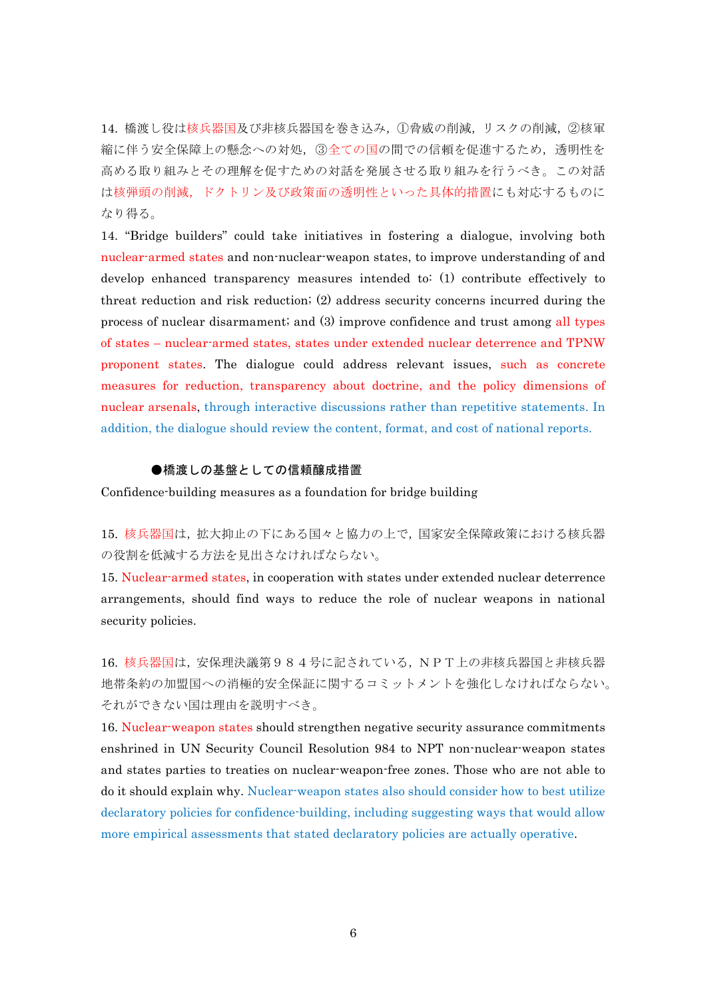14. 橋渡し役は核兵器国及び非核兵器国を巻き込み,①脅威の削減,リスクの削減,②核軍 縮に伴う安全保障上の懸念への対処,③全ての国の間での信頼を促進するため,透明性を 高める取り組みとその理解を促すための対話を発展させる取り組みを行うべき。この対話 は核弾頭の削減,ドクトリン及び政策面の透明性といった具体的措置にも対応するものに なり得る。

14. "Bridge builders" could take initiatives in fostering a dialogue, involving both nuclear-armed states and non-nuclear-weapon states, to improve understanding of and develop enhanced transparency measures intended to: (1) contribute effectively to threat reduction and risk reduction; (2) address security concerns incurred during the process of nuclear disarmament; and (3) improve confidence and trust among all types of states – nuclear-armed states, states under extended nuclear deterrence and TPNW proponent states. The dialogue could address relevant issues, such as concrete measures for reduction, transparency about doctrine, and the policy dimensions of nuclear arsenals, through interactive discussions rather than repetitive statements. In addition, the dialogue should review the content, format, and cost of national reports.

#### ●橋渡しの基盤としての信頼醸成措置

Confidence-building measures as a foundation for bridge building

15. 核兵器国は,拡大抑止の下にある国々と協力の上で,国家安全保障政策における核兵器 の役割を低減する方法を見出さなければならない。

15. Nuclear-armed states, in cooperation with states under extended nuclear deterrence arrangements, should find ways to reduce the role of nuclear weapons in national security policies.

16. 核兵器国は,安保理決議第984号に記されている,NPT上の非核兵器国と非核兵器 地帯条約の加盟国への消極的安全保証に関するコミットメントを強化しなければならない。 それができない国は理由を説明すべき。

16. Nuclear-weapon states should strengthen negative security assurance commitments enshrined in UN Security Council Resolution 984 to NPT non-nuclear-weapon states and states parties to treaties on nuclear-weapon-free zones. Those who are not able to do it should explain why. Nuclear-weapon states also should consider how to best utilize declaratory policies for confidence-building, including suggesting ways that would allow more empirical assessments that stated declaratory policies are actually operative.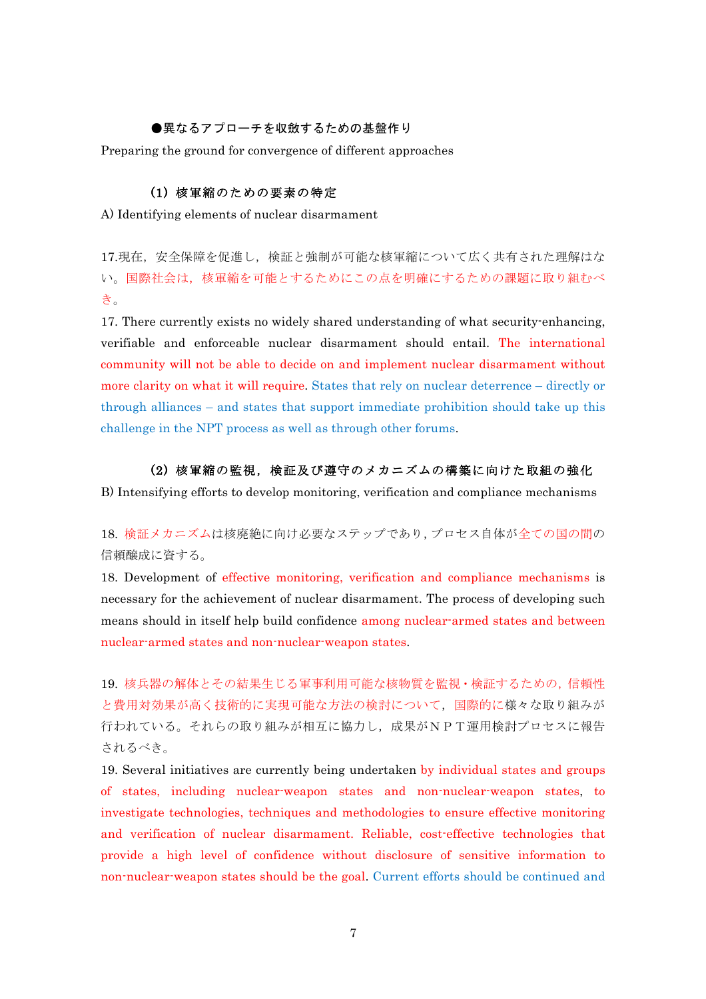# ●異なるアプローチを収斂するための基盤作り

Preparing the ground for convergence of different approaches

# (1) 核軍縮のための要素の特定

A) Identifying elements of nuclear disarmament

17.現在,安全保障を促進し,検証と強制が可能な核軍縮について広く共有された理解はな い。国際社会は,核軍縮を可能とするためにこの点を明確にするための課題に取り組むべ き。

17. There currently exists no widely shared understanding of what security-enhancing, verifiable and enforceable nuclear disarmament should entail. The international community will not be able to decide on and implement nuclear disarmament without more clarity on what it will require. States that rely on nuclear deterrence – directly or through alliances – and states that support immediate prohibition should take up this challenge in the NPT process as well as through other forums.

#### (2) 核軍縮の監視,検証及び遵守のメカニズムの構築に向けた取組の強化

B) Intensifying efforts to develop monitoring, verification and compliance mechanisms

18. 検証メカニズムは核廃絶に向け必要なステップであり,プロセス自体が全ての国の間の 信頼醸成に資する。

18. Development of effective monitoring, verification and compliance mechanisms is necessary for the achievement of nuclear disarmament. The process of developing such means should in itself help build confidence among nuclear-armed states and between nuclear-armed states and non-nuclear-weapon states.

19. 核兵器の解体とその結果生じる軍事利用可能な核物質を監視・検証するための,信頼性 と費用対効果が高く技術的に実現可能な方法の検討について,国際的に様々な取り組みが 行われている。それらの取り組みが相互に協力し,成果がNPT運用検討プロセスに報告 されるべき。

19. Several initiatives are currently being undertaken by individual states and groups of states, including nuclear-weapon states and non-nuclear-weapon states, to investigate technologies, techniques and methodologies to ensure effective monitoring and verification of nuclear disarmament. Reliable, cost-effective technologies that provide a high level of confidence without disclosure of sensitive information to non-nuclear-weapon states should be the goal. Current efforts should be continued and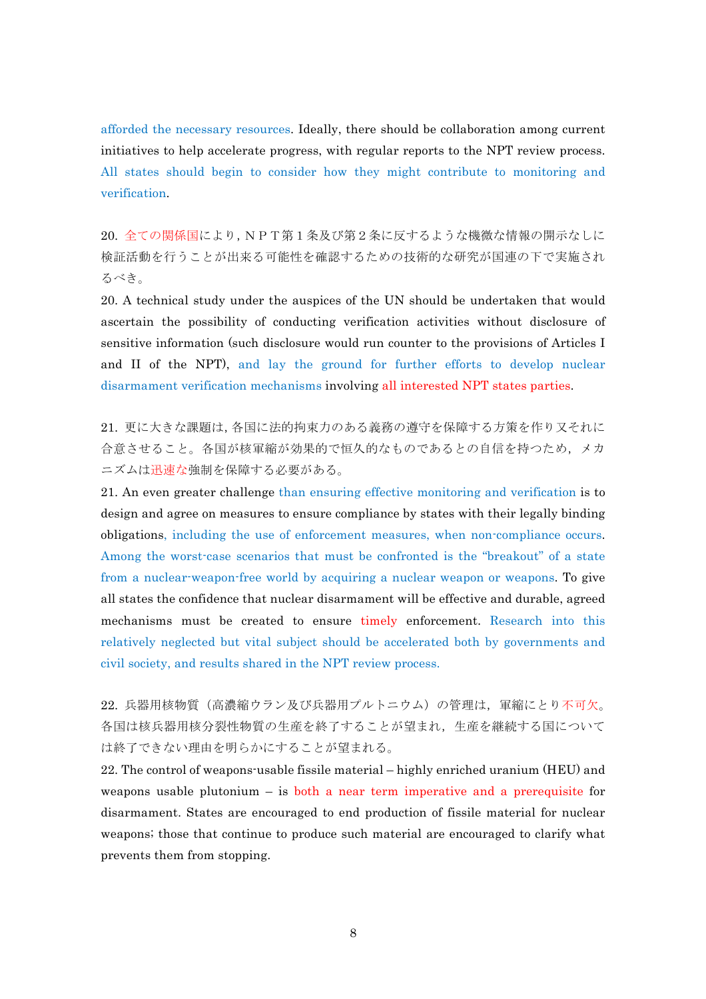afforded the necessary resources. Ideally, there should be collaboration among current initiatives to help accelerate progress, with regular reports to the NPT review process. All states should begin to consider how they might contribute to monitoring and verification.

20. 全ての関係国により,NPT第1条及び第2条に反するような機微な情報の開示なしに 検証活動を行うことが出来る可能性を確認するための技術的な研究が国連の下で実施され るべき。

20. A technical study under the auspices of the UN should be undertaken that would ascertain the possibility of conducting verification activities without disclosure of sensitive information (such disclosure would run counter to the provisions of Articles I and II of the NPT), and lay the ground for further efforts to develop nuclear disarmament verification mechanisms involving all interested NPT states parties.

21. 更に大きな課題は,各国に法的拘束力のある義務の遵守を保障する方策を作り又それに 合意させること。各国が核軍縮が効果的で恒久的なものであるとの自信を持つため,メカ ニズムは迅速な強制を保障する必要がある。

21. An even greater challenge than ensuring effective monitoring and verification is to design and agree on measures to ensure compliance by states with their legally binding obligations, including the use of enforcement measures, when non-compliance occurs. Among the worst-case scenarios that must be confronted is the "breakout" of a state from a nuclear-weapon-free world by acquiring a nuclear weapon or weapons. To give all states the confidence that nuclear disarmament will be effective and durable, agreed mechanisms must be created to ensure timely enforcement. Research into this relatively neglected but vital subject should be accelerated both by governments and civil society, and results shared in the NPT review process.

22. 兵器用核物質(高濃縮ウラン及び兵器用プルトニウム)の管理は,軍縮にとり不可欠。 各国は核兵器用核分裂性物質の生産を終了することが望まれ,生産を継続する国について は終了できない理由を明らかにすることが望まれる。

22. The control of weapons-usable fissile material – highly enriched uranium (HEU) and weapons usable plutonium – is both a near term imperative and a prerequisite for disarmament. States are encouraged to end production of fissile material for nuclear weapons; those that continue to produce such material are encouraged to clarify what prevents them from stopping.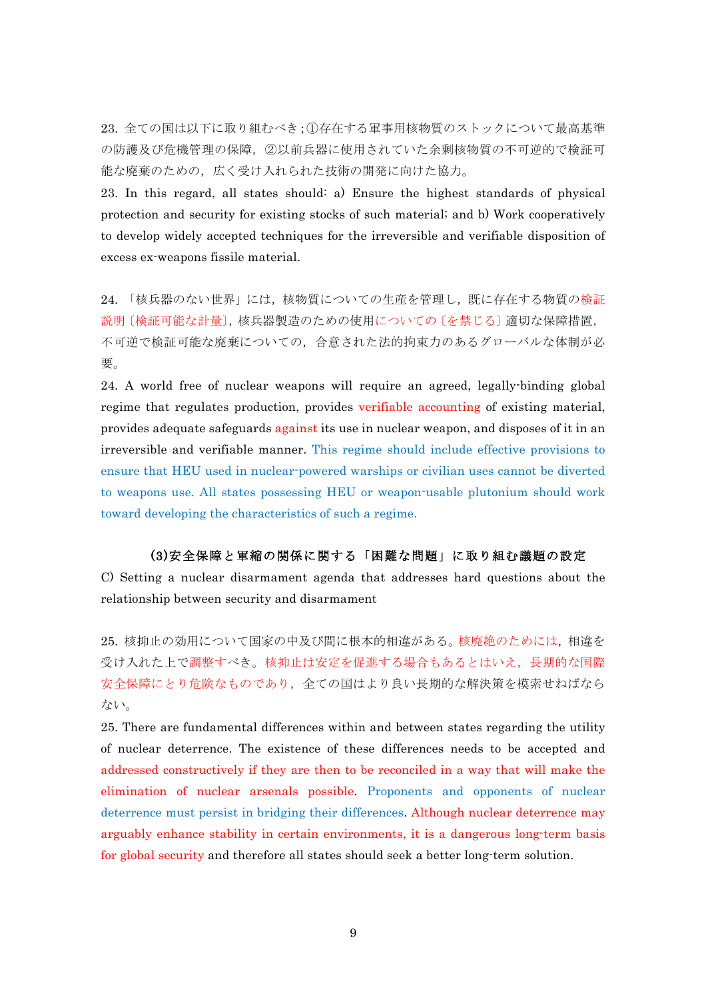23. 全ての国は以下に取り組むべき;①存在する軍事用核物質のストックについて最高基準 の防護及び危機管理の保障,②以前兵器に使用されていた余剰核物質の不可逆的で検証可 能な廃棄のための,広く受け入れられた技術の開発に向けた協力。

23. In this regard, all states should: a) Ensure the highest standards of physical protection and security for existing stocks of such material; and b) Work cooperatively to develop widely accepted techniques for the irreversible and verifiable disposition of excess ex-weapons fissile material.

24. 「核兵器のない世界」には、核物質についての生産を管理し、既に存在する物質の検証 説明〔検証可能な計量〕,核兵器製㐀のための使用についての〔を禁じる〕適切な保障措置, 不可逆で検証可能な廃棄についての,合意された法的拘束力のあるグローバルな体制が必 要。

24. A world free of nuclear weapons will require an agreed, legally-binding global regime that regulates production, provides verifiable accounting of existing material, provides adequate safeguards against its use in nuclear weapon, and disposes of it in an irreversible and verifiable manner. This regime should include effective provisions to ensure that HEU used in nuclear-powered warships or civilian uses cannot be diverted to weapons use. All states possessing HEU or weapon-usable plutonium should work toward developing the characteristics of such a regime.

#### (3)安全保障と軍縮の関係に関する「困難な問題」に取り組む議題の設定

C) Setting a nuclear disarmament agenda that addresses hard questions about the relationship between security and disarmament

25. 核抑止の効用について国家の中及び間に根本的相違がある。核廃絶のためには,相違を 受け入れた上で調整すべき。核抑止は安定を促進する場合もあるとはいえ,長期的な国際 安全保障にとり危険なものであり,全ての国はより良い長期的な解決策を模索せねばなら ない。

25. There are fundamental differences within and between states regarding the utility of nuclear deterrence. The existence of these differences needs to be accepted and addressed constructively if they are then to be reconciled in a way that will make the elimination of nuclear arsenals possible. Proponents and opponents of nuclear deterrence must persist in bridging their differences. Although nuclear deterrence may arguably enhance stability in certain environments, it is a dangerous long-term basis for global security and therefore all states should seek a better long-term solution.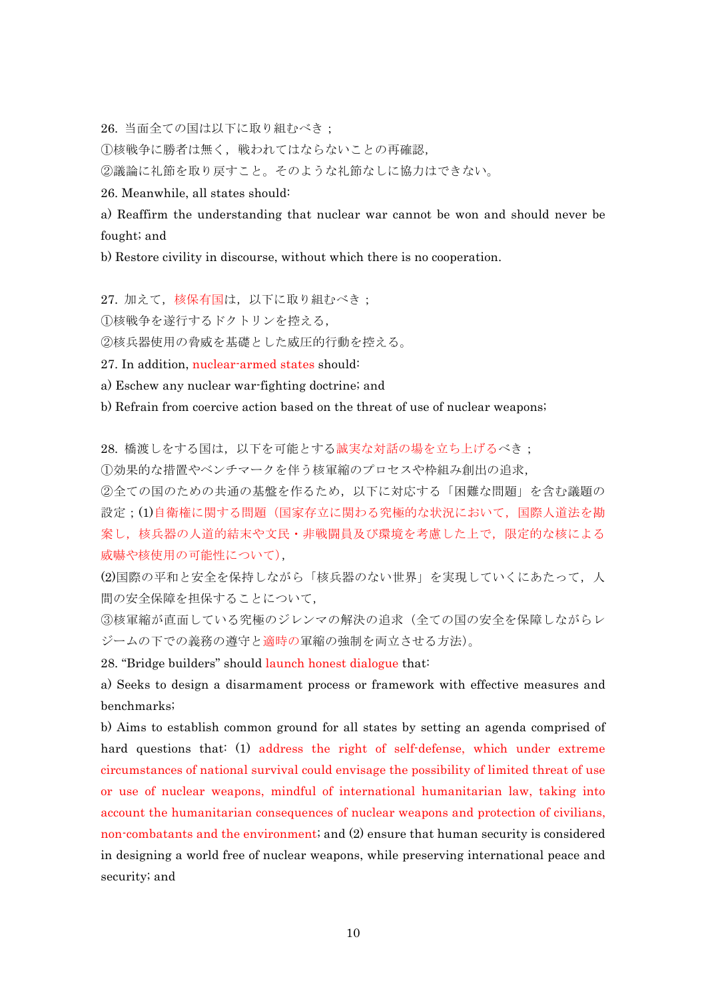26. 当面全ての国は以下に取り組むべき;

①核戦争に勝者は無く,戦われてはならないことの再確認,

②議論に礼節を取り戻すこと。そのような礼節なしに協力はできない。

26. Meanwhile, all states should:

a) Reaffirm the understanding that nuclear war cannot be won and should never be fought; and

b) Restore civility in discourse, without which there is no cooperation.

27. 加えて、核保有国は、以下に取り組むべき; ①核戦争を遂行するドクトリンを控える,

②核兵器使用の脅威を基礎とした威圧的行動を控える。

27. In addition, nuclear-armed states should:

a) Eschew any nuclear war-fighting doctrine; and

b) Refrain from coercive action based on the threat of use of nuclear weapons;

28. 橋渡しをする国は、以下を可能とする誠実な対話の場を立ち上げるべき;

①効果的な措置やベンチマークを伴う核軍縮のプロセスや枠組み創出の追求,

②全ての国のための共通の基盤を作るため,以下に対応する「困難な問題」を含む議題の 設定;(1)自衛権に関する問題(国家存立に関わる究極的な状況において,国際人道法を勘 案し,核兵器の人道的結末や文民・非戦闘員及び環境を考慮した上で,限定的な核による 威嚇や核使用の可能性について),

(2)国際の平和と安全を保持しながら「核兵器のない世界」を実現していくにあたって、人 間の安全保障を担保することについて,

③核軍縮が直面している究極のジレンマの解決の追求(全ての国の安全を保障しながらレ ジームの下での義務の遵守と適時の軍縮の強制を両立させる方法)。

28. "Bridge builders" should launch honest dialogue that:

a) Seeks to design a disarmament process or framework with effective measures and benchmarks;

b) Aims to establish common ground for all states by setting an agenda comprised of hard questions that: (1) address the right of self-defense, which under extreme circumstances of national survival could envisage the possibility of limited threat of use or use of nuclear weapons, mindful of international humanitarian law, taking into account the humanitarian consequences of nuclear weapons and protection of civilians, non-combatants and the environment; and (2) ensure that human security is considered in designing a world free of nuclear weapons, while preserving international peace and security; and